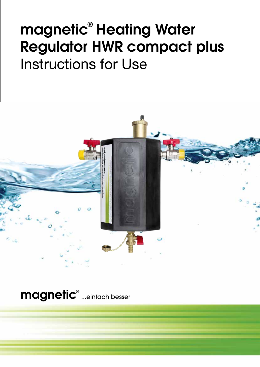# magnetic® Heating Water Regulator HWR compact plus Instructions for Use



magnetic® ...einfach besser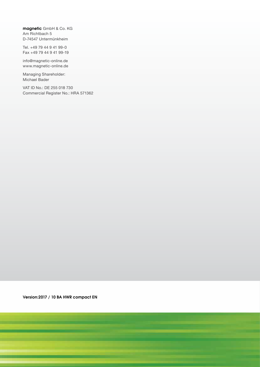magnetic GmbH & Co. KG Am Richtbach 5 D-74547 Untermünkheim

Tel. +49 79 44 9 41 99-0 Fax +49 79 44 9 41 99-19

info@magnetic-online.de www.magnetic-online.de

Managing Shareholder: Michael Bader

VAT ID No.: DE 255 018 730 Commercial Register No.: HRA 571362

Version:2017 / 10 BA HWR compact EN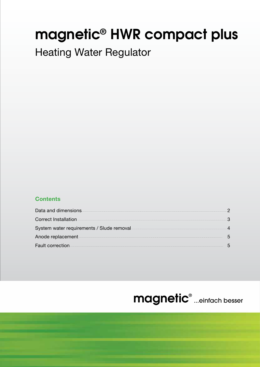## magnetic**®** HWR compact plus

## Heating Water Regulator

## **Contents**

| Data and dimensions <b>contract to the contract of the contract of the contract of the contract of the contract of the contract of the contract of the contract of the contract of the contract of the contract of the contract </b> |  |
|--------------------------------------------------------------------------------------------------------------------------------------------------------------------------------------------------------------------------------------|--|
|                                                                                                                                                                                                                                      |  |
| System water requirements / Slude removal                                                                                                                                                                                            |  |
| Anode replacement <b>Anode Transformation of the Contract of Anode Transformation</b> and the Anode replacement <b>Anodesis</b>                                                                                                      |  |
|                                                                                                                                                                                                                                      |  |

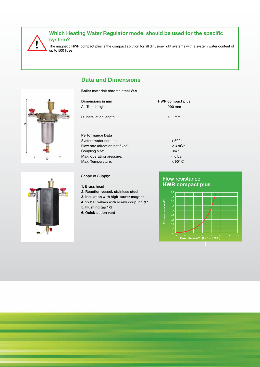

The magnetic HWR compact plus is the compact solution for all diffusion-tight systems with a system water content of up to 500 litres.

## **Data and Dimensions**

#### Boiler material: chrome steel V4A

| Dimensions in mm<br>A Total height | HWR compact plus<br>290 mm |
|------------------------------------|----------------------------|
| D Installation length              | 180 mm                     |
| Performance Data                   |                            |

System water content:  $<$  500 l Flow rate (direction not fixed):  $<$  3 m<sup>3</sup>/h Coupling size: 3/4 " Max. operating pressure:  $\leq 6$  bar Max. Temperature:  $\leq 90^{\circ}$  C

#### Scope of Supply:

#### 1. Brass head

- 2. Reaction vessel, stainless steel
- 3. Insulation with high-power magnet
- 4. 2x ball valves with screw coupling ¾"
- 5. Flushing tap 1/2
- 6. Quick-action vent

#### **HWR compact plus** Flow resistance



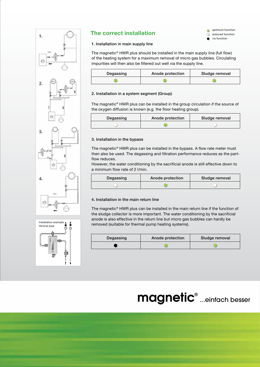



## **The correct installation**



#### 1. Installation in main supply line

The magnetic® HWR plus should be installed in the main supply line (full flow) of the heating system for a maximum removal of micro gas bubbles. Circulating impurities will then also be filtered out well via the supply line.

| Degassing | Anode protection | Sludge removal |
|-----------|------------------|----------------|
|           |                  |                |

#### 2. Installation in a system segment (Group)

The magnetic® HWR plus can be installed in the group circulation if the source of the oxygen diffusion is known (e.g. the floor heating group).

| Degassing | Anode protection | Sludge removal |
|-----------|------------------|----------------|
|           |                  |                |

#### 3. Installation in the bypass

The magnetic® HWR plus can be installed in the bypass. A flow rate meter must then also be used. The degassing and filtration performance reduces as the partflow reduces.

However, the water conditioning by the sacrificial anode is still effective down to a minimum flow rate of 2 l/min.

| Degassing | Anode protection | Sludge removal |
|-----------|------------------|----------------|
|           |                  |                |

#### 4. Installation in the main return line

The magnetic® HWR plus can be installed in the main return line if the function of the sludge collector is more important. The water conditioning by the sacrificial anode is also effective in the return line but micro gas bubbles can hardly be removed (suitable for thermal pump heating systems).

| Degassing | Anode protection | Sludge removal |
|-----------|------------------|----------------|
|           |                  |                |

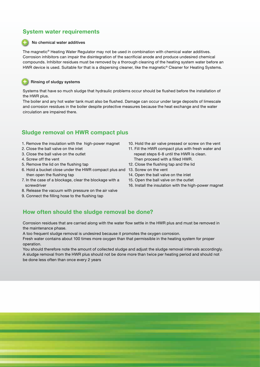## **System water requirements**

#### No chemical water additives

The magnetic® Heating Water Regulator may not be used in combination with chemical water additives. Corrosion inhibitors can impair the disintegration of the sacrificial anode and produce undesired chemical compounds. Inhibitor residues must be removed by a thorough cleaning of the heating system water before an HWR device is used. Suitable for that is a dispersing cleaner, like the magnetic® Cleaner for Heating Systems.

#### Rinsing of sludgy systems

l

Systems that have so much sludge that hydraulic problems occur should be flushed before the installation of the HWR plus.

The boiler and any hot water tank must also be flushed. Damage can occur under large deposits of limescale and corrosion residues in the boiler despite protective measures because the heat exchange and the water circulation are impaired there.

### **Sludge removal on HWR compact plus**

- 1. Remove the insulation with the high-power magnet
- 2. Close the ball valve on the inlet
- 3. Close the ball valve on the outlet
- 4. Screw off the vent
- 5. Remove the lid on the flushing tap
- 6. Hold a bucket close under the HWR compact plus and 13. Screw on the vent then open the flushing tap
- 7. In the case of a blockage, clear the blockage with a screwdriver
- 8. Release the vacuum with pressure on the air valve
- 9. Connect the filling hose to the flushing tap
- 10. Hold the air valve pressed or screw on the vent
- 11. Fill the HWR compact plus with fresh water and repeat steps 6-8 until the HWR is clean. Then proceed with a filled HWR.
- 12. Close the flushing tap and the lid
- 
- 14. Open the ball valve on the inlet
- 15. Open the ball valve on the outlet
- 16. Install the insulation with the high-power magnet

## **How often should the sludge removal be done?**

Corrosion residues that are carried along with the water flow settle in the HWR plus and must be removed in the maintenance phase.

A too frequent sludge removal is undesired because it promotes the oxygen corrosion.

Fresh water contains about 100 times more oxygen than that permissible in the heating system for proper operation.

You should therefore note the amount of collected sludge and adjust the sludge removal intervals accordingly. A sludge removal from the HWR plus should not be done more than twice per heating period and should not be done less often than once every 2 years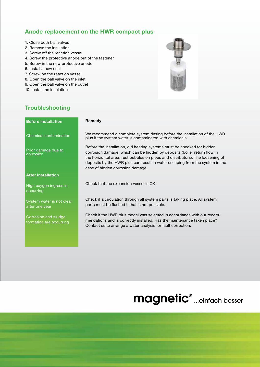### **Anode replacement on the HWR compact plus**

- 1. Close both ball valves
- 2. Remove the insulation
- 3. Screw off the reaction vessel
- 4. Screw the protective anode out of the fastener
- 5. Screw in the new protective anode
- 6. Install a new seal
- 7. Screw on the reaction vessel
- 8. Open the ball valve on the inlet
- 9. Open the ball valve on the outlet
- 10. Install the insulation



## **Troubleshooting**

#### **Remedy** We recommend a complete system rinsing before the installation of the HWR plus if the system water is contaminated with chemicals. Before the installation, old heating systems must be checked for hidden corrosion damage, which can be hidden by deposits (boiler return flow in the horizontal area, rust bubbles on pipes and distributors). The loosening of deposits by the HWR plus can result in water escaping from the system in the case of hidden corrosion damage. Check that the expansion vessel is OK. Check if a circulation through all system parts is taking place. All system parts must be flushed if that is not possible. Check if the HWR plus model was selected in accordance with our recommendations and is correctly installed. Has the maintenance taken place? Contact us to arrange a water analysis for fault correction. **Before installation** Chemical contamination Prior damage due to corrosion **After installation** High oxygen ingress is occurring System water is not clear after one year Corrosion and sludge formation are occurring